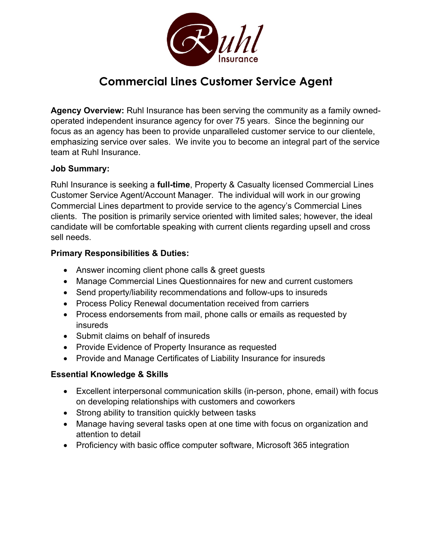

# **Commercial Lines Customer Service Agent**

**Agency Overview:** Ruhl Insurance has been serving the community as a family ownedoperated independent insurance agency for over 75 years. Since the beginning our focus as an agency has been to provide unparalleled customer service to our clientele, emphasizing service over sales. We invite you to become an integral part of the service team at Ruhl Insurance.

## **Job Summary:**

Ruhl Insurance is seeking a **full-time**, Property & Casualty licensed Commercial Lines Customer Service Agent/Account Manager. The individual will work in our growing Commercial Lines department to provide service to the agency's Commercial Lines clients. The position is primarily service oriented with limited sales; however, the ideal candidate will be comfortable speaking with current clients regarding upsell and cross sell needs.

## **Primary Responsibilities & Duties:**

- Answer incoming client phone calls & greet guests
- Manage Commercial Lines Questionnaires for new and current customers
- Send property/liability recommendations and follow-ups to insureds
- Process Policy Renewal documentation received from carriers
- Process endorsements from mail, phone calls or emails as requested by insureds
- Submit claims on behalf of insureds
- Provide Evidence of Property Insurance as requested
- Provide and Manage Certificates of Liability Insurance for insureds

## **Essential Knowledge & Skills**

- Excellent interpersonal communication skills (in-person, phone, email) with focus on developing relationships with customers and coworkers
- Strong ability to transition quickly between tasks
- Manage having several tasks open at one time with focus on organization and attention to detail
- Proficiency with basic office computer software, Microsoft 365 integration